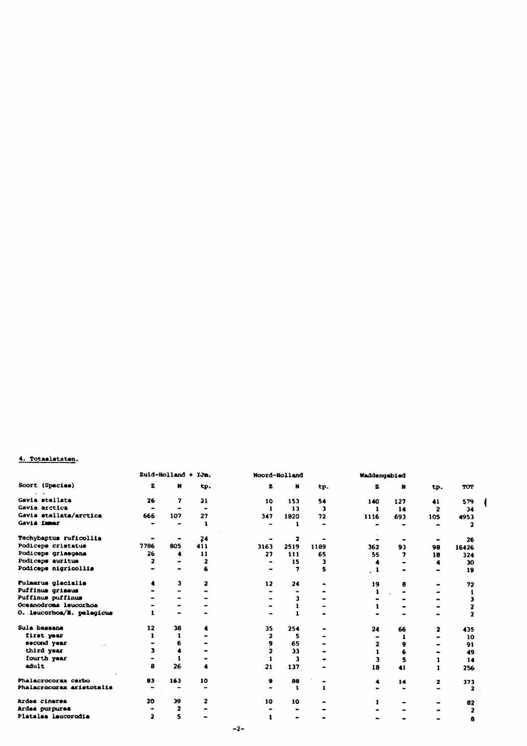## 4. Totaslstaten.

| Soort (Spacies)           | Zuid-Holland + IJm. |     |           |      | Noord-Holland           |      |      | Waddengebied |                         |       |  |
|---------------------------|---------------------|-----|-----------|------|-------------------------|------|------|--------------|-------------------------|-------|--|
|                           | z                   | M   | tp.       | 2    | N                       | tp.  | 2    | N            | tp.                     | TOT   |  |
| Gavia stellata            | 26                  | 7   | 21        | 10   | 153                     | 54   | 140  | 127          | 41                      | 579   |  |
| Gavia arctica             | $\bullet$           |     | $\bullet$ | -1   | 13                      | 3    | 1    | 14           | $\overline{\mathbf{z}}$ | 34    |  |
| Gavia stellata/arctica    | 666                 | 107 | 27        | 347  | 1820                    | 72   | 1116 | 693          | 105                     | 4953  |  |
| Gaviá immer               |                     |     |           |      |                         |      |      |              |                         |       |  |
| Tachybaptus ruficollis    |                     |     | 24        |      | $\overline{\mathbf{z}}$ |      |      |              |                         | 26    |  |
| Podiceps cristatus        | 7786                | 805 | 411       | 3163 | 2519                    | 1189 | 362  | 93           | 98                      | 16426 |  |
| Podiceps grisegena        | 26                  |     | 11        | 27   | 111                     | 65   | 55   | 7            | 18                      | 324   |  |
| Podiceps auritus          | 2                   |     | 2         |      | 15                      |      |      |              |                         | 30    |  |
| Podiceps nigricollis      |                     |     |           |      | 7                       |      |      |              |                         | 19    |  |
| Pulmarus glacialis        |                     | з   | 2         | 12   | 24                      |      | 19   | 8            |                         | 72    |  |
| Puffinus grissus          |                     |     |           |      | ۰                       |      |      |              |                         |       |  |
| Puffinus puffinus         |                     |     |           |      | 3                       |      |      |              |                         |       |  |
| Oceanodroma leucorhoa     |                     |     |           |      |                         |      |      |              |                         |       |  |
| O. leucorhoa/E. palagicus |                     |     |           |      |                         |      |      |              |                         |       |  |
| Sula bassana              | 12                  | 38  |           | 35   | 254                     |      | 24   | 66           | 2                       | 435   |  |
| first year                |                     |     |           | 2    | 5                       |      |      |              |                         | 10    |  |
| second year               |                     | 6   |           |      | 65                      |      |      |              |                         | 91    |  |
| third year                |                     |     |           |      | 33                      |      |      |              |                         | 49    |  |
| fourth year               |                     |     |           |      | 3                       |      |      |              |                         | 14    |  |
| adult                     | 8                   | 26  |           | 21   | .137                    |      | 18   | 41           |                         | 256   |  |
| Phalacrocorax carbo       | 83                  | 163 | 10        | 9    | 88                      |      |      | 14           | $\mathbf{z}$            | 373   |  |
| Phalacrocorax aristotalis |                     |     |           |      | $\mathbf{1}$            |      |      |              |                         |       |  |
| Ardea cinerea             | 20                  | 39  | 2         | 10   | 10                      |      |      |              |                         | 82    |  |
| Ardea purpurea            |                     | 2   |           |      |                         |      |      |              |                         | 2     |  |
| Platalea leucorodia       |                     | 5   |           |      |                         |      |      |              |                         | 8     |  |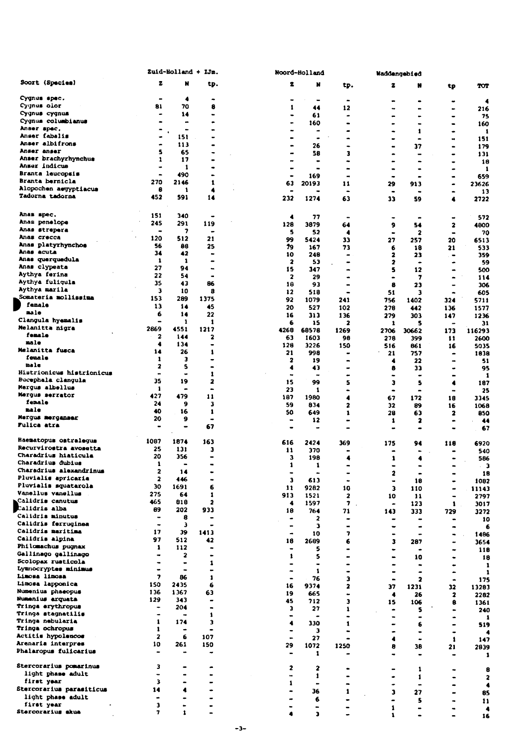|                                             |                                    | Zuid-Holland + IJm.          |                                           |  | Noord-Holland                |                          |                                           |                      | Waddengebied         |                                           |                         |
|---------------------------------------------|------------------------------------|------------------------------|-------------------------------------------|--|------------------------------|--------------------------|-------------------------------------------|----------------------|----------------------|-------------------------------------------|-------------------------|
| Soort (Species)                             | z                                  | N                            | tp.                                       |  | 2                            | N                        | tp.                                       | z                    | N                    | tp                                        | TOT                     |
| Cygnus spec.                                |                                    | 4                            | -                                         |  |                              |                          | $\bullet$                                 | a.                   | $\bullet$            | $\bullet$                                 | 4                       |
| Cygnus olor                                 | 81                                 | 70                           | 8                                         |  | 1                            | 44                       | 12                                        |                      | -                    | $\bullet$                                 | 216                     |
| Cygnus cygnus<br>Cygnus columbianus         |                                    | 14                           | $\bullet$                                 |  |                              | 61                       | $\bullet$                                 |                      |                      | $\bullet$                                 | 75                      |
| Anser spec.                                 | $\bullet$                          | ٠                            | $\blacksquare$                            |  |                              | 160<br>                  |                                           |                      | -<br>1               | $\bullet$<br>$\bullet$                    | 160<br>1                |
| Anser fabalis                               | $\bullet$                          | 151                          | $\bullet$                                 |  |                              | ۰                        |                                           |                      | $\bullet$            |                                           | 151                     |
| Anser albifrons<br>Anser anser              | ۰                                  | 113                          | $\bullet$                                 |  |                              | 26                       |                                           |                      | 37                   | ۰                                         | 179                     |
| Anser brachyrhynchus                        | 5<br>1                             | 65<br>17                     |                                           |  |                              | 58                       | 3                                         |                      | $\bullet$            | $\bullet$                                 | 131                     |
| Anser indicus                               |                                    | 1                            | $\bullet$                                 |  |                              | $\bullet$<br>۰           | ٠                                         | $\blacksquare$       | -                    | $\bullet$<br>۰                            | 18<br>1                 |
| Branta leucopsis                            | $\bullet$                          | 490                          | $\bullet$                                 |  | ٠                            | 169                      | $\blacksquare$                            |                      | $\bullet$            | $\blacksquare$                            | 659                     |
| Branta bernicla<br>Alopochen asyyptiacus    | 270                                | 2146                         | 1                                         |  | 63                           | 20193                    | 11                                        | 29                   | 913                  |                                           | 23626                   |
| <b>Tadorna tadorna</b>                      | 8<br>452                           | 1<br>591                     | 4<br>14                                   |  | 232                          | 1274                     | $\bullet$<br>63                           | $\blacksquare$<br>33 | $\bullet$<br>59      | $\bullet$<br>4                            | 13<br>2722              |
| Anas spec.                                  | 151                                | 340                          |                                           |  | 4                            | 77                       | $\blacksquare$                            | $\bullet$            | $\bullet$            | $\blacksquare$                            | 572                     |
| Anas penelope                               | 245                                | 291                          | 119                                       |  | 128                          | 3879                     | 64                                        | 9                    | 54                   | $\mathbf{z}$                              | 4800                    |
| Anas strepera<br>Anas crecca                | ٠                                  | 7                            |                                           |  | 5                            | 52                       | 4                                         | $\blacksquare$       | 2                    | $\blacksquare$                            | 70                      |
| Anas platyrhynchos                          | 120<br>56                          | 512<br>88                    | 21<br>25                                  |  | 99<br>79                     | 5424<br>167              | 33                                        | 27                   | 257                  | 20                                        | 6513                    |
| Anas acuta                                  | 34                                 | 42                           | $\blacksquare$                            |  | 10                           | 248                      | 73<br>$\bullet$                           | 6<br>2               | 18<br>23             | 21<br>$\qquad \qquad \blacksquare$        | 533<br>359              |
| Anas querquedula                            | 1                                  | 1                            | $\blacksquare$                            |  | 2                            | 53                       |                                           | 2                    | $\bullet$            | $\bullet$                                 | 59                      |
| Anas clypeata<br>Aythya ferina              | 27<br>22                           | 94                           | $\bullet$                                 |  | 15                           | 347                      | $\rightarrow$                             | 5                    | 12                   | $\blacksquare$                            | 500                     |
| Aythya fuliqula                             | 35                                 | 54<br>43                     | $\bullet$<br>86                           |  | 2<br>18                      | 29<br>93                 | $\bullet$                                 | 8                    | 7<br>23              | $\bullet$<br>$\blacksquare$               | 114<br>306              |
| Aythya marila                               | 3                                  | 10                           | 8                                         |  | 12                           | 518                      |                                           | 51                   | 3                    | ٠                                         | 605                     |
| Somateria mollissima                        | 153                                | 289                          | 1375                                      |  | 92                           | 1079                     | 241                                       | 756                  | 1402                 | 324                                       | 5711                    |
| female<br>nale                              | 13                                 | 14                           | 45                                        |  | 20                           | 527                      | 102                                       | 278                  | 442                  | 136                                       | 1577                    |
| Clangula hyemalis                           | 6<br>$\blacksquare$                | 14<br>1                      | 22<br>1                                   |  | 16                           | 313                      | 136                                       | 279                  | 303                  | 147                                       | 1236                    |
| Melanitta nigra                             | 2869                               | 4551                         | 1217                                      |  | 6<br>4268                    | 15<br>68578              | $\overline{\mathbf{z}}$<br>1269           | 1<br>2706            | S<br>30662           | 173                                       | 31<br>116293            |
| fenale                                      | $\overline{\mathbf{z}}$            | 144                          | 2                                         |  | 63                           | 1603                     | 98                                        | 278                  | 399                  | 11                                        | 2600                    |
| male<br>Melanitta fusca                     | 4                                  | 134                          | $\bullet$                                 |  | 128                          | 3226                     | 150                                       | 516                  | 861                  | 16                                        | 5035                    |
| fenale                                      | 14<br>1                            | 26<br>3                      | 1<br>٠                                    |  | 21                           | 998                      | $\bullet$                                 | 21                   | 757                  | ٠                                         | 1938                    |
| male                                        | $\mathbf{z}$                       | 5                            | $\blacksquare$                            |  | 2<br>4                       | 19<br>43                 | $\blacksquare$                            | 4<br>8               | 22<br>33             |                                           | 51<br>95                |
| Histrionicus histrionicus                   | $\blacksquare$                     | ٠                            | 1                                         |  |                              | $\overline{\phantom{a}}$ |                                           |                      | $\ddot{\phantom{0}}$ | ۰                                         | 1                       |
| Bucephala clangula<br>Mergus albellus       | 35                                 | 19                           | 2                                         |  | 15                           | 99                       | 5                                         | з                    | s                    | 4                                         | 187                     |
| Merqus serrator                             | 1<br>427                           | ٠<br>479                     | $\bullet$<br>11                           |  | 23                           | 1                        | $\bullet$                                 | ٠                    | $\blacksquare$       | $\blacksquare$                            | 25                      |
| fenale                                      | 24                                 | 9                            | з                                         |  | 187<br>59                    | 1980<br>834              | 4<br>$\overline{2}$                       | 67<br>32             | 172<br>89            | 18<br>16                                  | 3345<br>1068            |
| nale                                        | 40                                 | 16                           | 1                                         |  | 50                           | 649                      | 1                                         | 28                   | 63                   | 2                                         | 850                     |
| Mergus merganser<br><b>Fulica atra</b>      | 20<br>$\hbox{\small \bf -}$        | 9<br>-                       | ٠<br>67                                   |  | $\blacksquare$<br>-          | 12<br>$\bullet$          |                                           | 1                    | 2                    |                                           | 44<br>67                |
| Haematopus ostralegus                       | 1087                               | 1874                         | 163                                       |  | 616                          | 2424                     | 369                                       | 175                  | 94                   | 118                                       | 6920                    |
| Recurvirostra avosetta                      | 25                                 | 131                          | з                                         |  | 11                           | 370                      |                                           | -                    |                      |                                           | 540                     |
| Charadrius hiaticula<br>Charadrius dubius   | 20                                 | 356                          | $\blacksquare$                            |  | 3                            | 198                      | 4                                         | 1                    | 4                    |                                           | 586                     |
| Charadrius alexandrinus                     | 1<br>2                             | 14                           |                                           |  |                              | ı                        |                                           |                      |                      |                                           | - 3                     |
| Pluvialis apricaria                         | $\mathbf{z}$                       | 446                          | $\qquad \qquad \blacksquare$<br>۰.        |  | 3                            | $\blacksquare$<br>613    | $\qquad \qquad \blacksquare$<br>$\bullet$ | 2<br>$\blacksquare$  | $\bullet$<br>18      | $\qquad \qquad \blacksquare$<br>۰         | 18<br>1082              |
| Pluvialis squatarola                        | 30                                 | 1691                         | 6                                         |  | 11                           | 9282                     | 10                                        | 3                    | 110                  | $\qquad \qquad \blacksquare$              | 11143                   |
| Vanellus vanellus                           | 275                                | 64                           | 1                                         |  | 913                          | 1521                     | $\mathbf{z}$                              | 10                   | 11                   | $\qquad \qquad \blacksquare$              | 2797                    |
| Calidris canutus<br>Calidris alba           | 465<br>89                          | 818<br>202                   | $\overline{\mathbf{2}}$                   |  | 4                            | 1597                     | 7.                                        | $\bullet$            | 123                  | $\mathbf{1}$ .                            | 3017                    |
| Calidris minutus                            | $\qquad \qquad \blacksquare$       | 8                            | 933<br>-                                  |  | 18<br>$\bullet$              | 764<br>2                 | 71<br>-                                   | 143                  | 333<br>$\bullet$     | 729                                       | 3272                    |
| Calidris ferruginea                         | ۰                                  | Э                            |                                           |  |                              | $\overline{\mathbf{3}}$  | $\blacksquare$                            | $\tilde{}$           | $\bullet$            | $\bullet$<br>۰                            | 10<br>6                 |
| Calidris maritima                           | 17                                 | 39                           | 1413                                      |  | ٠                            | 10                       | 7                                         |                      | ٠                    | $\bullet$                                 | 1486                    |
| Calidris alpina<br>Philomachus pugnax       | 97<br>1                            | 512<br>112                   | 42                                        |  | 18                           | 2689                     | 6                                         | з                    | 287                  | $\tilde{\phantom{a}}$                     | 3654                    |
| Gallinago gallinago                         |                                    | $\overline{\mathbf{2}}$      | $\bullet$<br>$\qquad \qquad \blacksquare$ |  | 1                            | 5<br>5                   | $\bullet$<br>$\bullet$                    |                      | $\bullet$            | ۰                                         | 118                     |
| Scolopax rusticola                          | $\blacksquare$                     | $\qquad \qquad \blacksquare$ | 1                                         |  |                              | $\blacksquare$           | $\bullet$                                 |                      | 10<br>$\bullet$      | $\qquad \qquad \blacksquare$<br>$\bullet$ | 18<br>-1                |
| Lymnocryptes minimus                        | ٠                                  | $\blacksquare$               | $\frac{1}{2}$                             |  |                              | $\mathbf{1}$             | $\bullet$                                 | -                    | $\bullet$            | ۰                                         | -1                      |
| Limosa limosa<br>Limosa lapponica           | $\overline{\phantom{a}}$<br>150    | 86<br>2435                   | $\mathbf{1}$<br>6                         |  | $\blacksquare$               | 76                       | 3                                         | $\blacksquare$       | $\mathbf{z}$         | $\bullet$                                 | 175                     |
| Numenius phaeopus                           | 136                                | 1367                         | 63                                        |  | 16<br>19                     | 9374<br>665              | $\overline{\mathbf{c}}$                   | 37<br>4              | 1231<br>26           | 32                                        | 13283                   |
| Numenius arquata                            | 129                                | 343                          | $\qquad \qquad \blacksquare$              |  | 45                           | 712                      | э                                         | 15                   | 106                  | $\mathbf{z}$<br>8                         | 2282<br>1361            |
| Tringa erythropus                           | $\frac{1}{2}$                      | 204                          | $\qquad \qquad \blacksquare$              |  | э                            | 27                       | 1                                         |                      | 5                    | $\bullet$                                 | 240                     |
| Tringa stagnatilis<br>Tringa nebularia      | $\bullet$<br>1                     | $\rightarrow$<br>174         | 1<br>3                                    |  |                              | $\blacksquare$           |                                           | ۰                    | $\blacksquare$       | ۰                                         | -1                      |
| Tringa ochropus                             | 1                                  | $\bullet$                    | $\bullet$                                 |  | 4                            | 330<br>з                 | $\mathbf{1}$<br>$\blacksquare$            |                      | 6<br>٠               | $\hat{\phantom{a}}$<br>۰                  | 519                     |
| Actitis hypolencos                          | $\mathbf{z}$                       | 6                            | 107                                       |  | $\qquad \qquad \blacksquare$ | 27                       | $\bullet$                                 | 4                    | ٠                    | 1                                         | 147                     |
| Arenaria interpres<br>Phalaropus fulicarius | 10<br>$\rightarrow$                | 261<br>$\rightarrow$         | 150<br>$\bullet$                          |  | 29                           | 1072<br>1                | 1250                                      | 8                    | 38<br>$\bullet$      | 21<br>                                    | 2839<br>-1              |
| Stercorarius pomarinus                      | з                                  |                              |                                           |  | 2                            | 2                        |                                           |                      | 1                    | ۰                                         | 8                       |
| light phase adult                           | -                                  | ۰                            | ۰                                         |  |                              | 1                        | $\bullet$                                 |                      | 1                    | $\blacksquare$                            | $\overline{\mathbf{z}}$ |
| first year<br>Stercorarius parasiticus      | 3                                  | -                            | $\blacksquare$                            |  | $\mathbf{1}$                 | $\bullet$                | $\bullet$                                 |                      | ۰                    | ۰                                         |                         |
| light phase adult                           | 14<br>$\qquad \qquad \blacksquare$ | 4                            |                                           |  |                              | 36                       | 1                                         | J.                   | 27                   | $\qquad \qquad \blacksquare$              | 85                      |
| first year                                  | 3                                  | ۰                            |                                           |  |                              | 6<br>$\blacksquare$      | $\qquad \qquad \blacksquare$              | 1                    | 5<br>-               | ۰                                         | $\mathbf{11}$           |
| Stercorarius skua                           | 7                                  | 1                            | $\blacksquare$                            |  |                              | $\overline{\mathbf{a}}$  |                                           |                      |                      | $\blacksquare$                            | 16                      |

 $\overline{\phantom{a}}$ 

I